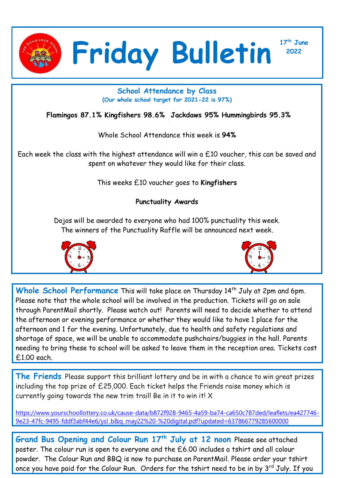

**<sup>2022</sup> Friday Bulletin**

**17 th June**

## **School Attendance by Class (Our whole school target for 2021-22 is 97%)**

**Flamingos 87.1% Kingfishers 98.6% Jackdaws 95% Hummingbirds 95.3%**

Whole School Attendance this week is **94%**

Each week the class with the highest attendance will win a £10 voucher, this can be saved and spent on whatever they would like for their class.

This weeks £10 voucher goes to **Kingfishers**

## **Punctuality Awards**

Dojos will be awarded to everyone who had 100% punctuality this week. The winners of the Punctuality Raffle will be announced next week.





Whole School Performance This will take place on Thursday 14<sup>th</sup> July at 2pm and 6pm. Please note that the whole school will be involved in the production. Tickets will go on sale through ParentMail shortly. Please watch out! Parents will need to decide whether to attend the afternoon or evening performance or whether they would like to have 1 place for the afternoon and 1 for the evening. Unfortunately, due to health and safety regulations and shortage of space, we will be unable to accommodate pushchairs/buggies in the hall. Parents needing to bring these to school will be asked to leave them in the reception area. Tickets cost £1.00 each.

**The Friends** Please support this brilliant lottery and be in with a chance to win great prizes including the top prize of £25,000. Each ticket helps the Friends raise money which is currently going towards the new trim trail! Be in it to win it!  $X$ 

[https://www.yourschoollottery.co.uk/cause-data/b872f928-9465-4a59-ba74-ca650c787ded/leaflets/ea427746-](https://www.yourschoollottery.co.uk/cause-data/b872f928-9465-4a59-ba74-ca650c787ded/leaflets/ea427746-9e23-47fc-9495-fddf3abf44e6/ysl_b&q_may22%20-%20digital.pdf?updated=637866779285600000) [9e23-47fc-9495-fddf3abf44e6/ysl\\_b&q\\_may22%20-%20digital.pdf?updated=637866779285600000](https://www.yourschoollottery.co.uk/cause-data/b872f928-9465-4a59-ba74-ca650c787ded/leaflets/ea427746-9e23-47fc-9495-fddf3abf44e6/ysl_b&q_may22%20-%20digital.pdf?updated=637866779285600000)

**Grand Bus Opening and Colour Run 17th July at 12 noon** Please see attached poster. The colour run is open to everyone and the £6.00 includes a tshirt and all colour powder. The Colour Run and BBQ is now to purchase on ParentMail. Please order your tshirt once you have paid for the Colour Run. Orders for the tshirt need to be in by 3<sup>rd</sup> July. If you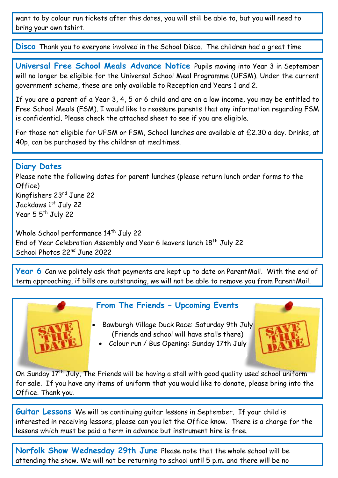want to by colour run tickets after this dates, you will still be able to, but you will need to bring your own tshirt.

**Disco** Thank you to everyone involved in the School Disco. The children had a great time.

**Universal Free School Meals Advance Notice** Pupils moving into Year 3 in September will no longer be eligible for the Universal School Meal Programme (UFSM). Under the current government scheme, these are only available to Reception and Years 1 and 2.

If you are a parent of a Year 3, 4, 5 or 6 child and are on a low income, you may be entitled to Free School Meals (FSM). I would like to reassure parents that any information regarding FSM is confidential. Please check the attached sheet to see if you are eligible.

For those not eligible for UFSM or FSM, School lunches are available at £2.30 a day. Drinks, at 40p, can be purchased by the children at mealtimes.

## **Diary Dates**

Please note the following dates for parent lunches (please return lunch order forms to the Office) Kingfishers 23rd June 22 Jackdaws 1st July 22 Year  $55^{th}$  July 22

Whole School performance 14<sup>th</sup> July 22 End of Year Celebration Assembly and Year 6 leavers lunch 18<sup>th</sup> July 22 School Photos 22nd June 2022

**Year 6** Can we politely ask that payments are kept up to date on ParentMail. With the end of term approaching, if bills are outstanding, we will not be able to remove you from ParentMail.



## **From The Friends – Upcoming Events**

 Bawburgh Village Duck Race: Saturday 9th July (Friends and school will have stalls there)



Colour run / Bus Opening: Sunday 17th July

On Sunday 17<sup>th</sup> July, The Friends will be having a stall with good quality used school uniform for sale. If you have any items of uniform that you would like to donate, please bring into the Office. Thank you.

**Guitar Lessons** We will be continuing guitar lessons in September. If your child is interested in receiving lessons, please can you let the Office know. There is a charge for the lessons which must be paid a term in advance but instrument hire is free.

**Norfolk Show Wednesday 29th June** Please note that the whole school will be attending the show. We will not be returning to school until 5 p.m. and there will be no